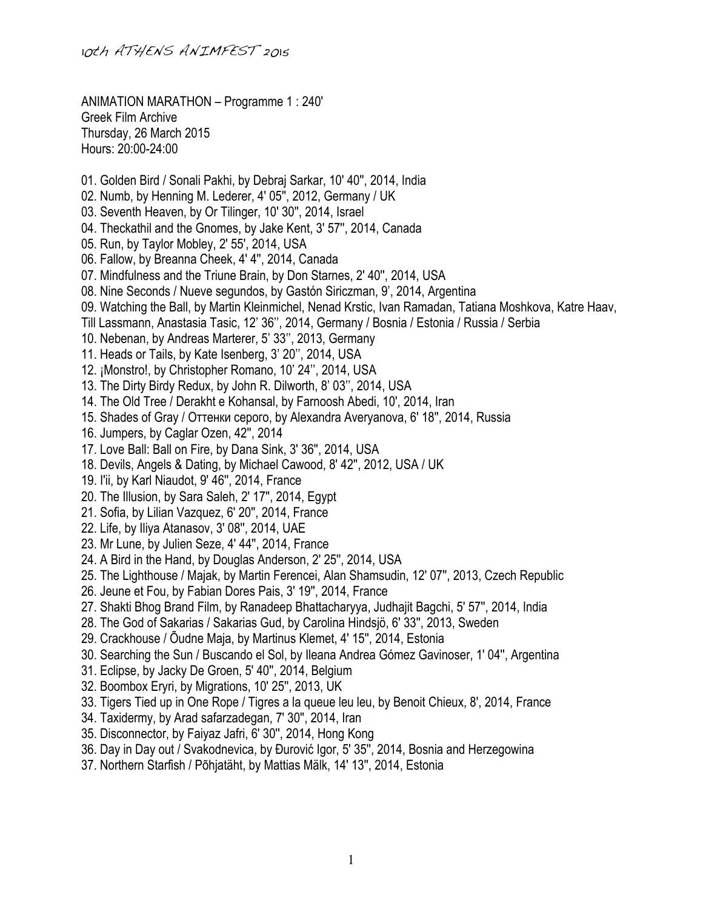ANIMATION MARATHON – Programme 1 : 240' Greek Film Archive Thursday, 26 March 2015 Hours: 20:00-24:00

- 01. Golden Bird / Sonali Pakhi, by Debraj Sarkar, 10' 40'', 2014, India
- 02. Numb, by Henning M. Lederer, 4' 05'', 2012, Germany / UK
- 03. Seventh Heaven, by Or Tilinger, 10' 30'', 2014, Israel
- 04. Theckathil and the Gnomes, by Jake Kent, 3' 57'', 2014, Canada
- 05. Run, by Taylor Mobley, 2' 55', 2014, USA
- 06. Fallow, by Breanna Cheek, 4' 4'', 2014, Canada
- 07. Mindfulness and the Triune Brain, by Don Starnes, 2' 40'', 2014, USA
- 08. Nine Seconds / Nueve segundos, by Gastón Siriczman, 9', 2014, Argentina
- 09. Watching the Ball, by Martin Kleinmichel, Nenad Krstic, Ivan Ramadan, Tatiana Moshkova, Katre Haav,
- Till Lassmann, Anastasia Tasic, 12' 36'', 2014, Germany / Bosnia / Estonia / Russia / Serbia
- 10. Nebenan, by Andreas Marterer, 5' 33'', 2013, Germany
- 11. Heads or Tails, by Kate Isenberg, 3' 20'', 2014, USA
- 12. ¡Monstro!, by Christopher Romano, 10' 24'', 2014, USA
- 13. The Dirty Birdy Redux, by John R. Dilworth, 8' 03'', 2014, USA
- 14. The Old Tree / Derakht e Kohansal, by Farnoosh Abedi, 10', 2014, Iran
- 15. Shades of Gray / Оттенки серого, by Alexandra Averyanova, 6' 18'', 2014, Russia
- 16. Jumpers, by Caglar Ozen, 42'', 2014
- 17. Love Ball: Ball on Fire, by Dana Sink, 3' 36'', 2014, USA
- 18. Devils, Angels & Dating, by Michael Cawood, 8' 42'', 2012, USA / UK
- 19. I'ii, by Karl Niaudot, 9' 46'', 2014, France
- 20. The Illusion, by Sara Saleh, 2' 17'', 2014, Egypt
- 21. Sofia, by Lilian Vazquez, 6' 20'', 2014, France
- 22. Life, by Iliya Atanasov, 3' 08'', 2014, UAE
- 23. Mr Lune, by Julien Seze, 4' 44'', 2014, France
- 24. A Bird in the Hand, by Douglas Anderson, 2' 25'', 2014, USA
- 25. The Lighthouse / Majak, by Martin Ferencei, Alan Shamsudin, 12' 07'', 2013, Czech Republic
- 26. Jeune et Fou, by Fabian Dores Pais, 3' 19'', 2014, France
- 27. Shakti Bhog Brand Film, by Ranadeep Bhattacharyya, Judhajit Bagchi, 5' 57'', 2014, India
- 28. The God of Sakarias / Sakarias Gud, by Carolina Hindsjö, 6' 33'', 2013, Sweden
- 29. Crackhouse / Õudne Maja, by Martinus Klemet, 4' 15'', 2014, Estonia
- 30. Searching the Sun / Buscando el Sol, by Ileana Andrea Gómez Gavinoser, 1' 04'', Argentina
- 31. Eclipse, by Jacky De Groen, 5' 40'', 2014, Belgium
- 32. Boombox Eryri, by Migrations, 10' 25'', 2013, UK
- 33. Tigers Tied up in One Rope / Tigres a la queue leu leu, by Benoit Chieux, 8', 2014, France
- 34. Taxidermy, by Arad safarzadegan, 7' 30'', 2014, Iran
- 35. Disconnector, by Faiyaz Jafri, 6' 30'', 2014, Hong Kong
- 36. Day in Day out / Svakodnevica, by Đurović Igor, 5' 35'', 2014, Bosnia and Herzegowina
- 37. Northern Starfish / Põhjatäht, by Mattias Mälk, 14' 13'', 2014, Estonia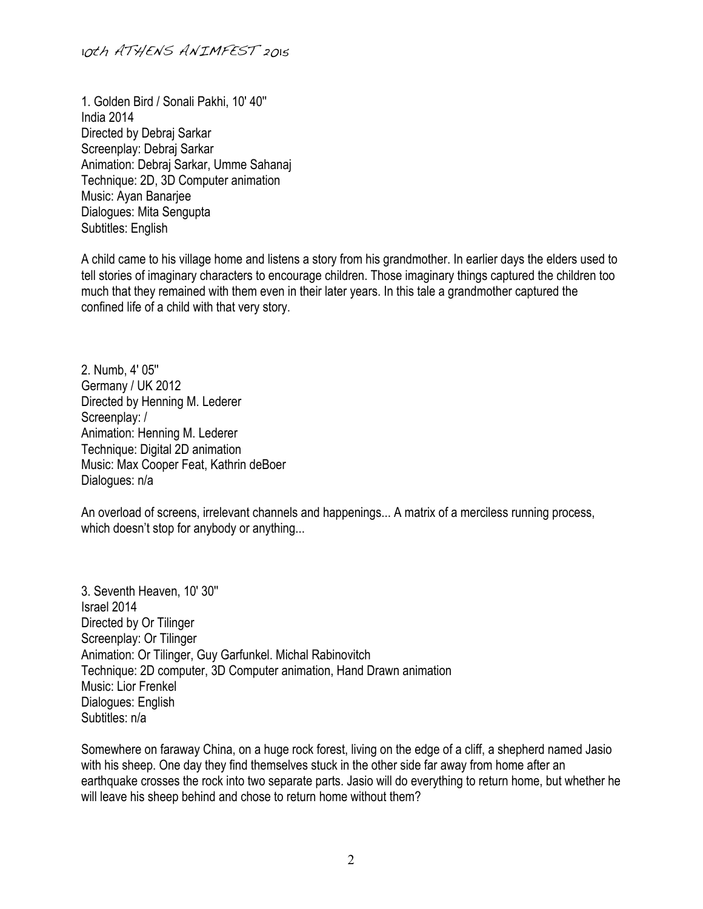1. Golden Bird / Sonali Pakhi, 10' 40'' India 2014 Directed by Debraj Sarkar Screenplay: Debraj Sarkar Animation: Debraj Sarkar, Umme Sahanaj Technique: 2D, 3D Computer animation Music: Ayan Banarjee Dialogues: Mita Sengupta Subtitles: English

A child came to his village home and listens a story from his grandmother. In earlier days the elders used to tell stories of imaginary characters to encourage children. Those imaginary things captured the children too much that they remained with them even in their later years. In this tale a grandmother captured the confined life of a child with that very story.

2. Numb, 4' 05'' Germany / UK 2012 Directed by Henning M. Lederer Screenplay: / Animation: Henning M. Lederer Technique: Digital 2D animation Music: Max Cooper Feat, Kathrin deBoer Dialogues: n/a

An overload of screens, irrelevant channels and happenings... A matrix of a merciless running process, which doesn't stop for anybody or anything...

3. Seventh Heaven, 10' 30'' Israel 2014 Directed by Or Tilinger Screenplay: Or Tilinger Animation: Or Tilinger, Guy Garfunkel. Michal Rabinovitch Technique: 2D computer, 3D Computer animation, Hand Drawn animation Music: Lior Frenkel Dialogues: English Subtitles: n/a

Somewhere on faraway China, on a huge rock forest, living on the edge of a cliff, a shepherd named Jasio with his sheep. One day they find themselves stuck in the other side far away from home after an earthquake crosses the rock into two separate parts. Jasio will do everything to return home, but whether he will leave his sheep behind and chose to return home without them?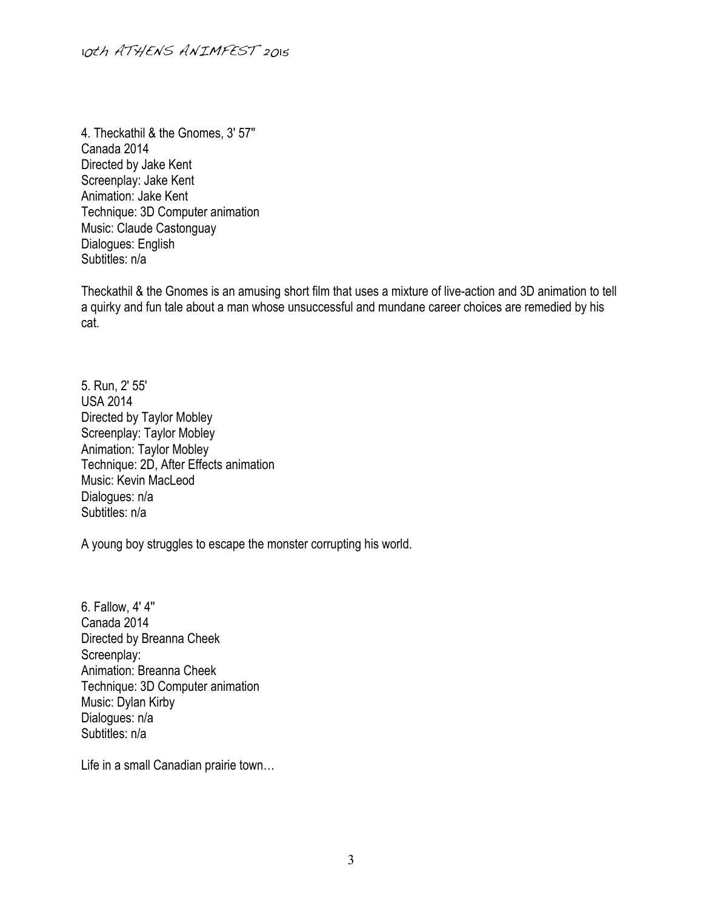4. Theckathil & the Gnomes, 3' 57'' Canada 2014 Directed by Jake Kent Screenplay: Jake Kent Animation: Jake Kent Technique: 3D Computer animation Music: Claude Castonguay Dialogues: English Subtitles: n/a

Theckathil & the Gnomes is an amusing short film that uses a mixture of live-action and 3D animation to tell a quirky and fun tale about a man whose unsuccessful and mundane career choices are remedied by his cat.

5. Run, 2' 55' USA 2014 Directed by Taylor Mobley Screenplay: Taylor Mobley Animation: Taylor Mobley Technique: 2D, After Effects animation Music: Kevin MacLeod Dialogues: n/a Subtitles: n/a

A young boy struggles to escape the monster corrupting his world.

6. Fallow, 4' 4'' Canada 2014 Directed by Breanna Cheek Screenplay: Animation: Breanna Cheek Technique: 3D Computer animation Music: Dylan Kirby Dialogues: n/a Subtitles: n/a

Life in a small Canadian prairie town…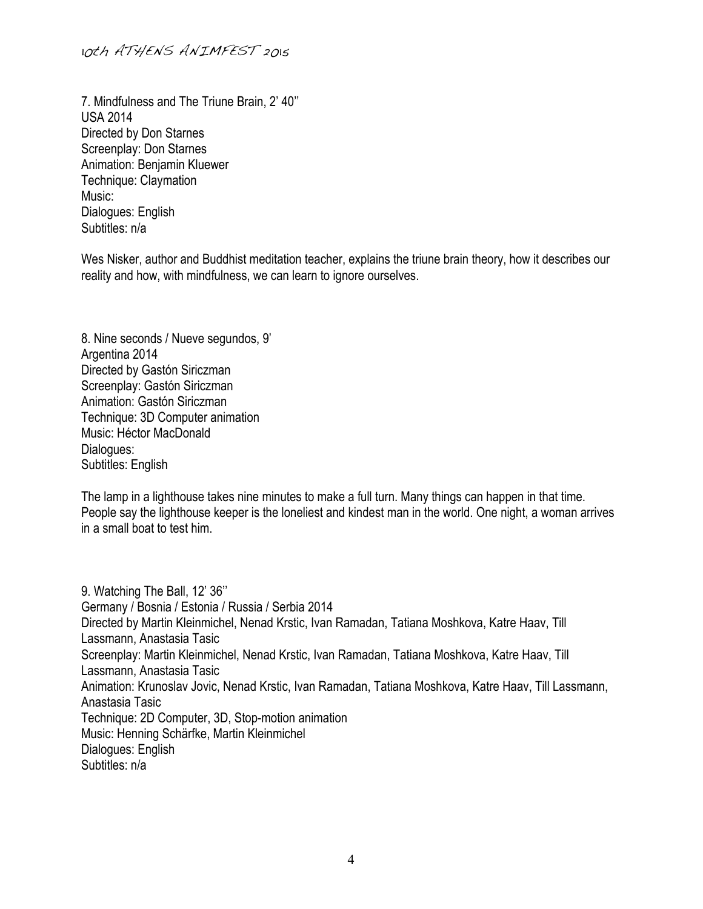7. Mindfulness and The Triune Brain, 2' 40'' USA 2014 Directed by Don Starnes Screenplay: Don Starnes Animation: Benjamin Kluewer Technique: Claymation Music: Dialogues: English Subtitles: n/a

Wes Nisker, author and Buddhist meditation teacher, explains the triune brain theory, how it describes our reality and how, with mindfulness, we can learn to ignore ourselves.

8. Nine seconds / Nueve segundos, 9' Argentina 2014 Directed by Gastón Siriczman Screenplay: Gastón Siriczman Animation: Gastón Siriczman Technique: 3D Computer animation Music: Héctor MacDonald Dialogues: Subtitles: English

The lamp in a lighthouse takes nine minutes to make a full turn. Many things can happen in that time. People say the lighthouse keeper is the loneliest and kindest man in the world. One night, a woman arrives in a small boat to test him.

9. Watching The Ball, 12' 36'' Germany / Bosnia / Estonia / Russia / Serbia 2014 Directed by Martin Kleinmichel, Nenad Krstic, Ivan Ramadan, Tatiana Moshkova, Katre Haav, Till Lassmann, Anastasia Tasic Screenplay: Martin Kleinmichel, Nenad Krstic, Ivan Ramadan, Tatiana Moshkova, Katre Haav, Till Lassmann, Anastasia Tasic Animation: Krunoslav Jovic, Nenad Krstic, Ivan Ramadan, Tatiana Moshkova, Katre Haav, Till Lassmann, Anastasia Tasic Technique: 2D Computer, 3D, Stop-motion animation Music: Henning Schärfke, Martin Kleinmichel Dialogues: English Subtitles: n/a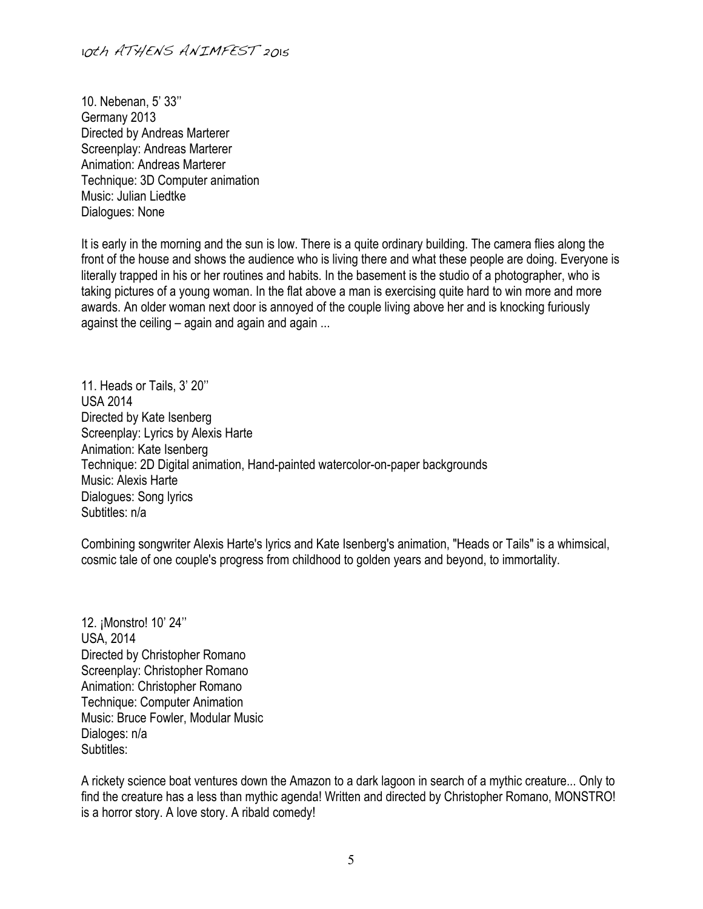10. Nebenan, 5' 33'' Germany 2013 Directed by Andreas Marterer Screenplay: Andreas Marterer Animation: Andreas Marterer Technique: 3D Computer animation Music: Julian Liedtke Dialogues: None

It is early in the morning and the sun is low. There is a quite ordinary building. The camera flies along the front of the house and shows the audience who is living there and what these people are doing. Everyone is literally trapped in his or her routines and habits. In the basement is the studio of a photographer, who is taking pictures of a young woman. In the flat above a man is exercising quite hard to win more and more awards. An older woman next door is annoyed of the couple living above her and is knocking furiously against the ceiling – again and again and again ...

11. Heads or Tails, 3' 20'' USA 2014 Directed by Kate Isenberg Screenplay: Lyrics by Alexis Harte Animation: Kate Isenberg Technique: 2D Digital animation, Hand-painted watercolor-on-paper backgrounds Music: Alexis Harte Dialogues: Song lyrics Subtitles: n/a

Combining songwriter Alexis Harte's lyrics and Kate Isenberg's animation, "Heads or Tails" is a whimsical, cosmic tale of one couple's progress from childhood to golden years and beyond, to immortality.

12. ¡Monstro! 10' 24'' USA, 2014 Directed by Christopher Romano Screenplay: Christopher Romano Animation: Christopher Romano Technique: Computer Animation Music: Bruce Fowler, Modular Music Dialoges: n/a Subtitles:

A rickety science boat ventures down the Amazon to a dark lagoon in search of a mythic creature... Only to find the creature has a less than mythic agenda! Written and directed by Christopher Romano, MONSTRO! is a horror story. A love story. A ribald comedy!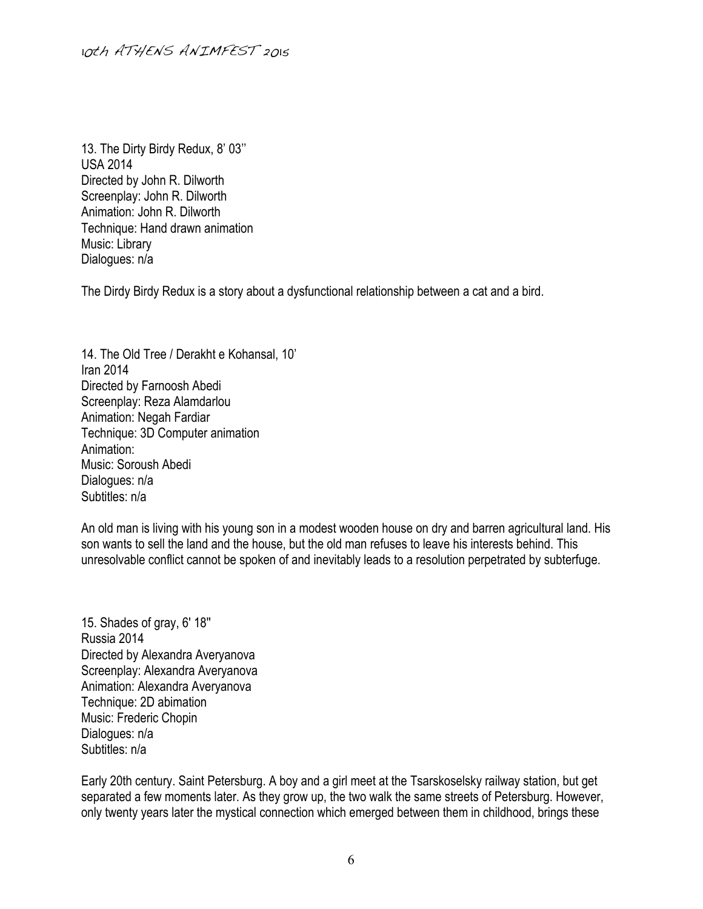13. The Dirty Birdy Redux, 8' 03'' USA 2014 Directed by John R. Dilworth Screenplay: John R. Dilworth Animation: John R. Dilworth Technique: Hand drawn animation Music: Library Dialogues: n/a

The Dirdy Birdy Redux is a story about a dysfunctional relationship between a cat and a bird.

14. The Old Tree / Derakht e Kohansal, 10' Iran 2014 Directed by Farnoosh Abedi Screenplay: Reza Alamdarlou Animation: Negah Fardiar Technique: 3D Computer animation Animation: Music: Soroush Abedi Dialogues: n/a Subtitles: n/a

An old man is living with his young son in a modest wooden house on dry and barren agricultural land. His son wants to sell the land and the house, but the old man refuses to leave his interests behind. This unresolvable conflict cannot be spoken of and inevitably leads to a resolution perpetrated by subterfuge.

15. Shades of gray, 6' 18'' Russia 2014 Directed by Alexandra Averyanova Screenplay: Alexandra Averyanova Animation: Alexandra Averyanova Technique: 2D abimation Music: Frederic Chopin Dialogues: n/a Subtitles: n/a

Early 20th century. Saint Petersburg. A boy and a girl meet at the Tsarskoselsky railway station, but get separated a few moments later. As they grow up, the two walk the same streets of Petersburg. However, only twenty years later the mystical connection which emerged between them in childhood, brings these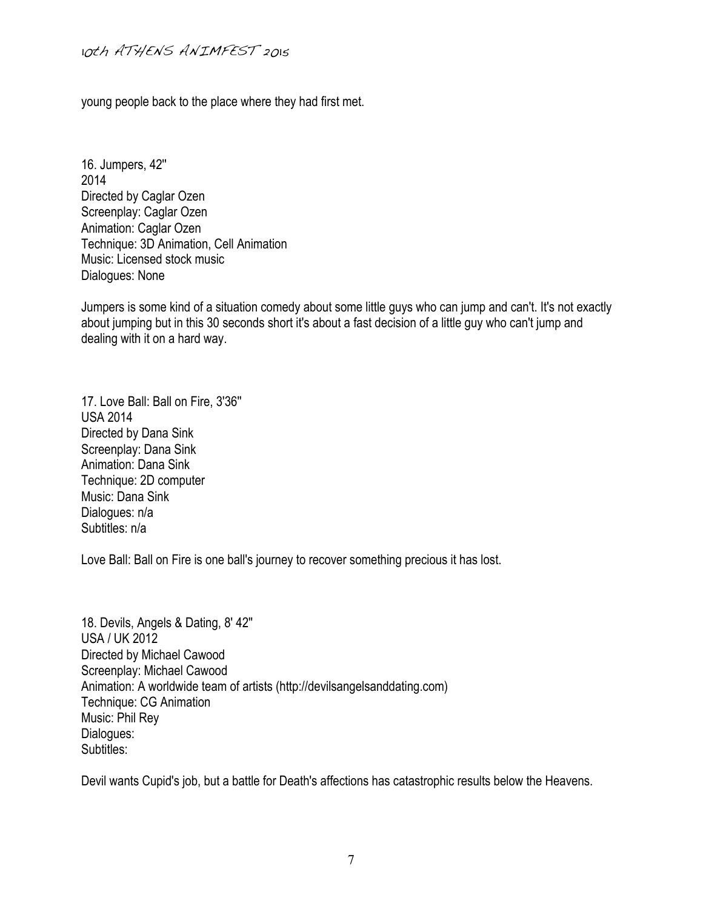young people back to the place where they had first met.

16. Jumpers, 42'' 2014 Directed by Caglar Ozen Screenplay: Caglar Ozen Animation: Caglar Ozen Technique: 3D Animation, Cell Animation Music: Licensed stock music Dialogues: None

Jumpers is some kind of a situation comedy about some little guys who can jump and can't. It's not exactly about jumping but in this 30 seconds short it's about a fast decision of a little guy who can't jump and dealing with it on a hard way.

17. Love Ball: Ball on Fire, 3'36'' USA 2014 Directed by Dana Sink Screenplay: Dana Sink Animation: Dana Sink Technique: 2D computer Music: Dana Sink Dialogues: n/a Subtitles: n/a

Love Ball: Ball on Fire is one ball's journey to recover something precious it has lost.

18. Devils, Angels & Dating, 8' 42'' USA / UK 2012 Directed by Michael Cawood Screenplay: Michael Cawood Animation: A worldwide team of artists (http://devilsangelsanddating.com) Technique: CG Animation Music: Phil Rey Dialogues: Subtitles:

Devil wants Cupid's job, but a battle for Death's affections has catastrophic results below the Heavens.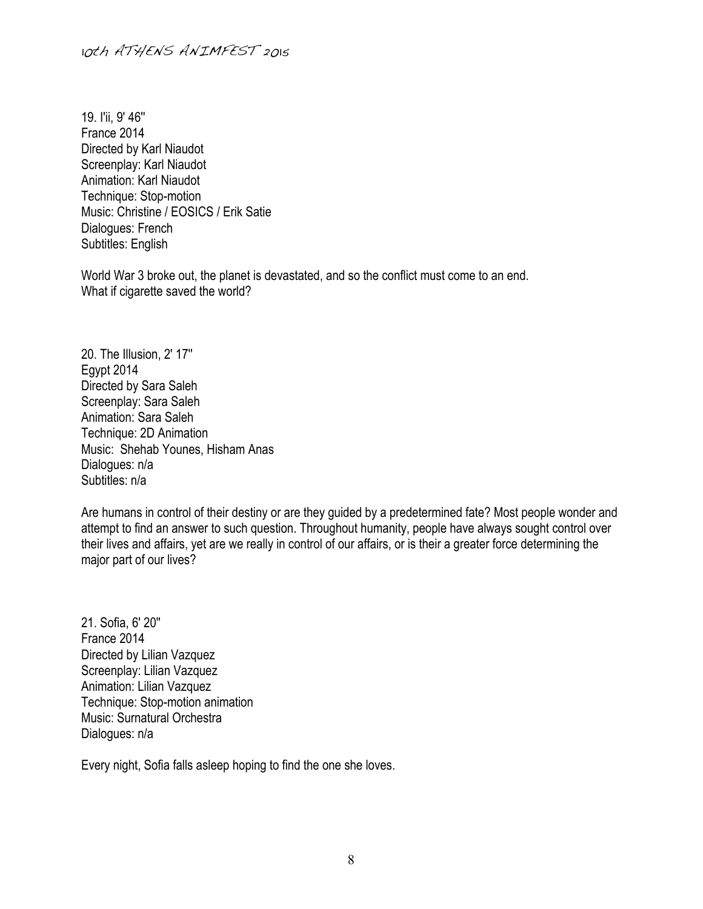19. I'ii, 9' 46'' France 2014 Directed by Karl Niaudot Screenplay: Karl Niaudot Animation: Karl Niaudot Technique: Stop-motion Music: Christine / EOSICS / Erik Satie Dialogues: French Subtitles: English

World War 3 broke out, the planet is devastated, and so the conflict must come to an end. What if cigarette saved the world?

20. The Illusion, 2' 17'' Egypt 2014 Directed by Sara Saleh Screenplay: Sara Saleh Animation: Sara Saleh Technique: 2D Animation Music: Shehab Younes, Hisham Anas Dialogues: n/a Subtitles: n/a

Are humans in control of their destiny or are they guided by a predetermined fate? Most people wonder and attempt to find an answer to such question. Throughout humanity, people have always sought control over their lives and affairs, yet are we really in control of our affairs, or is their a greater force determining the major part of our lives?

21. Sofia, 6' 20'' France 2014 Directed by Lilian Vazquez Screenplay: Lilian Vazquez Animation: Lilian Vazquez Technique: Stop-motion animation Music: Surnatural Orchestra Dialogues: n/a

Every night, Sofia falls asleep hoping to find the one she loves.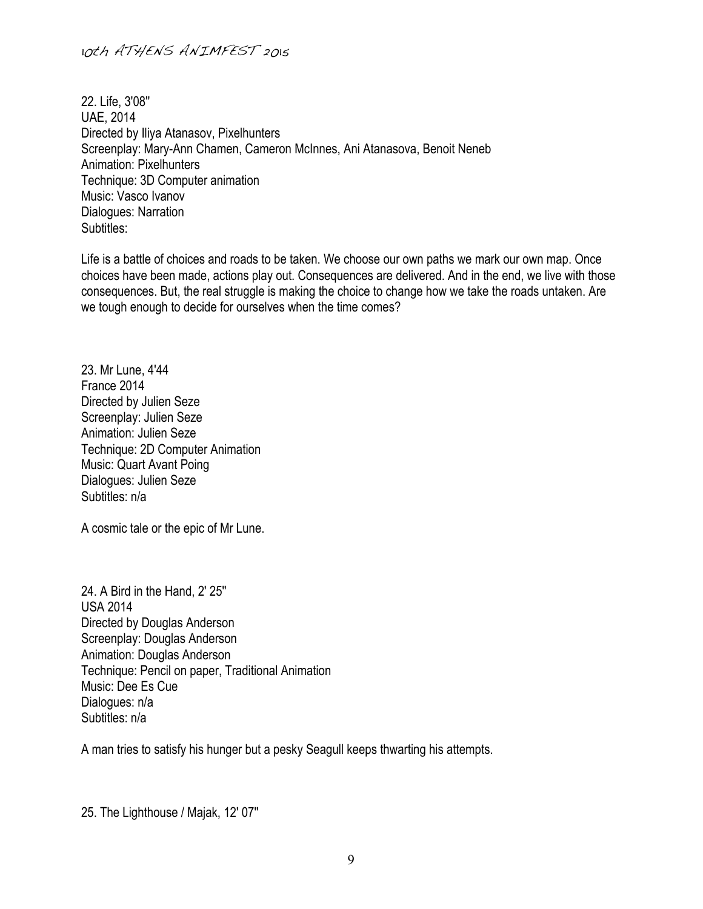22. Life, 3'08'' UAE, 2014 Directed by Iliya Atanasov, Pixelhunters Screenplay: Mary-Ann Chamen, Cameron McInnes, Ani Atanasova, Benoit Neneb Animation: Pixelhunters Technique: 3D Computer animation Music: Vasco Ivanov Dialogues: Narration Subtitles:

Life is a battle of choices and roads to be taken. We choose our own paths we mark our own map. Once choices have been made, actions play out. Consequences are delivered. And in the end, we live with those consequences. But, the real struggle is making the choice to change how we take the roads untaken. Are we tough enough to decide for ourselves when the time comes?

23. Mr Lune, 4'44 France 2014 Directed by Julien Seze Screenplay: Julien Seze Animation: Julien Seze Technique: 2D Computer Animation Music: Quart Avant Poing Dialogues: Julien Seze Subtitles: n/a

A cosmic tale or the epic of Mr Lune.

24. A Bird in the Hand, 2' 25'' USA 2014 Directed by Douglas Anderson Screenplay: Douglas Anderson Animation: Douglas Anderson Technique: Pencil on paper, Traditional Animation Music: Dee Es Cue Dialogues: n/a Subtitles: n/a

A man tries to satisfy his hunger but a pesky Seagull keeps thwarting his attempts.

25. The Lighthouse / Majak, 12' 07''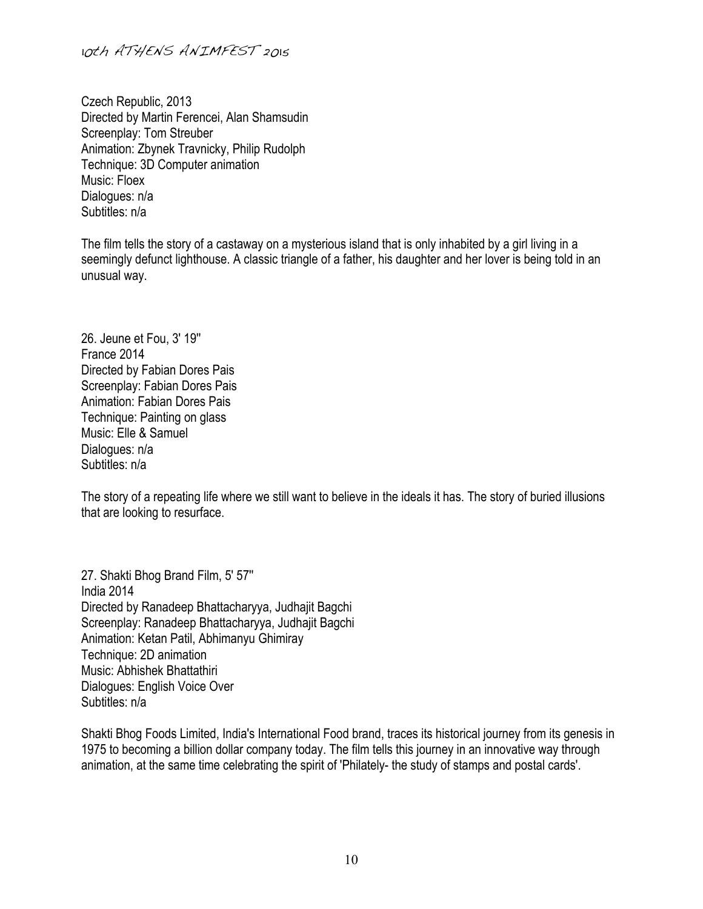10th ATHENS ANIMFEST 2015

Czech Republic, 2013 Directed by Martin Ferencei, Alan Shamsudin Screenplay: Tom Streuber Animation: Zbynek Travnicky, Philip Rudolph Technique: 3D Computer animation Music: Floex Dialogues: n/a Subtitles: n/a

The film tells the story of a castaway on a mysterious island that is only inhabited by a girl living in a seemingly defunct lighthouse. A classic triangle of a father, his daughter and her lover is being told in an unusual way.

26. Jeune et Fou, 3' 19'' France 2014 Directed by Fabian Dores Pais Screenplay: Fabian Dores Pais Animation: Fabian Dores Pais Technique: Painting on glass Music: Elle & Samuel Dialogues: n/a Subtitles: n/a

The story of a repeating life where we still want to believe in the ideals it has. The story of buried illusions that are looking to resurface.

27. Shakti Bhog Brand Film, 5' 57'' India 2014 Directed by Ranadeep Bhattacharyya, Judhajit Bagchi Screenplay: Ranadeep Bhattacharyya, Judhajit Bagchi Animation: Ketan Patil, Abhimanyu Ghimiray Technique: 2D animation Music: Abhishek Bhattathiri Dialogues: English Voice Over Subtitles: n/a

Shakti Bhog Foods Limited, India's International Food brand, traces its historical journey from its genesis in 1975 to becoming a billion dollar company today. The film tells this journey in an innovative way through animation, at the same time celebrating the spirit of 'Philately- the study of stamps and postal cards'.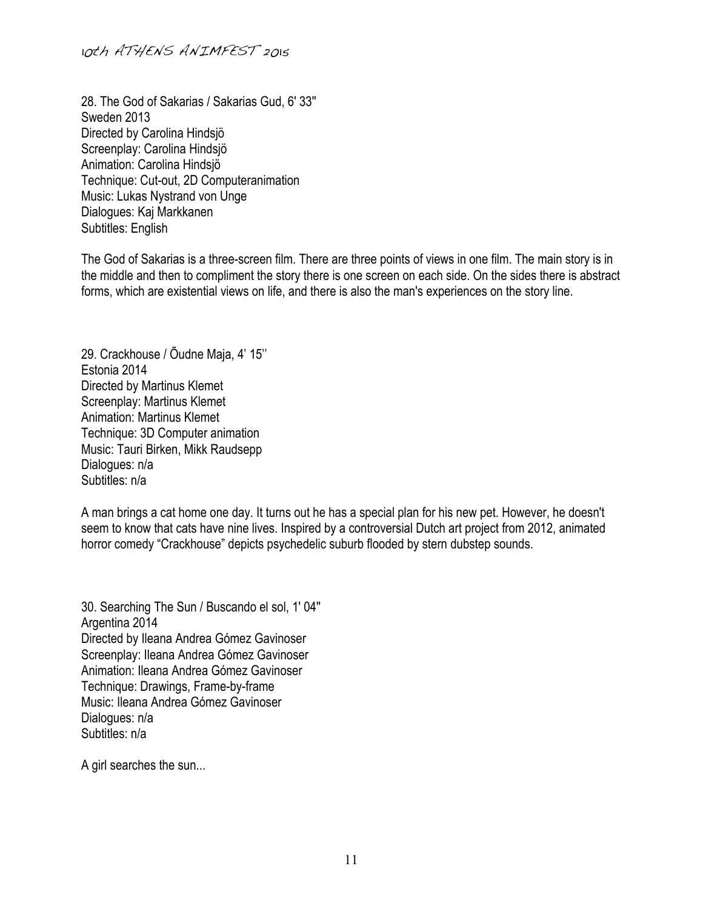28. The God of Sakarias / Sakarias Gud, 6' 33'' Sweden 2013 Directed by Carolina Hindsjö Screenplay: Carolina Hindsjö Animation: Carolina Hindsjö Technique: Cut-out, 2D Computeranimation Music: Lukas Nystrand von Unge Dialogues: Kaj Markkanen Subtitles: English

The God of Sakarias is a three-screen film. There are three points of views in one film. The main story is in the middle and then to compliment the story there is one screen on each side. On the sides there is abstract forms, which are existential views on life, and there is also the man's experiences on the story line.

29. Crackhouse / Õudne Maja, 4' 15'' Estonia 2014 Directed by Martinus Klemet Screenplay: Martinus Klemet Animation: Martinus Klemet Technique: 3D Computer animation Music: Tauri Birken, Mikk Raudsepp Dialogues: n/a Subtitles: n/a

A man brings a cat home one day. It turns out he has a special plan for his new pet. However, he doesn't seem to know that cats have nine lives. Inspired by a controversial Dutch art project from 2012, animated horror comedy "Crackhouse" depicts psychedelic suburb flooded by stern dubstep sounds.

30. Searching The Sun / Buscando el sol, 1' 04'' Argentina 2014 Directed by Ileana Andrea Gómez Gavinoser Screenplay: Ileana Andrea Gómez Gavinoser Animation: Ileana Andrea Gómez Gavinoser Technique: Drawings, Frame-by-frame Music: Ileana Andrea Gómez Gavinoser Dialogues: n/a Subtitles: n/a

A girl searches the sun...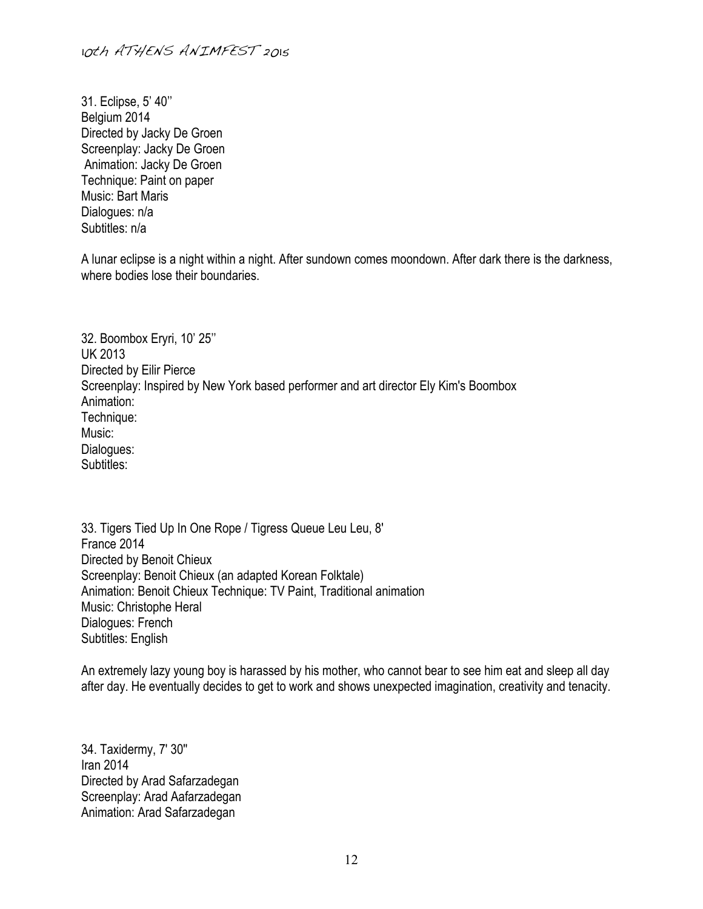31. Eclipse, 5' 40'' Belgium 2014 Directed by Jacky De Groen Screenplay: Jacky De Groen Animation: Jacky De Groen Technique: Paint on paper Music: Bart Maris Dialogues: n/a Subtitles: n/a

A lunar eclipse is a night within a night. After sundown comes moondown. After dark there is the darkness, where bodies lose their boundaries.

32. Boombox Eryri, 10' 25'' UK 2013 Directed by Eilir Pierce Screenplay: Inspired by New York based performer and art director Ely Kim's Boombox Animation: Technique: Music: Dialogues: Subtitles:

33. Tigers Tied Up In One Rope / Tigress Queue Leu Leu, 8' France 2014 Directed by Benoit Chieux Screenplay: Benoit Chieux (an adapted Korean Folktale) Animation: Benoit Chieux Technique: TV Paint, Traditional animation Music: Christophe Heral Dialogues: French Subtitles: English

An extremely lazy young boy is harassed by his mother, who cannot bear to see him eat and sleep all day after day. He eventually decides to get to work and shows unexpected imagination, creativity and tenacity.

34. Taxidermy, 7' 30'' Iran 2014 Directed by Arad Safarzadegan Screenplay: Arad Aafarzadegan Animation: Arad Safarzadegan